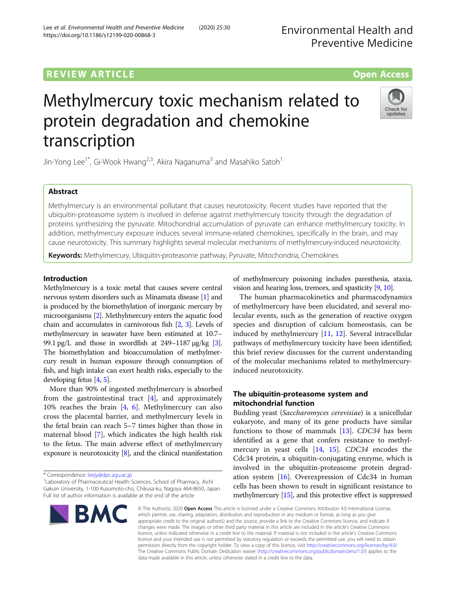# **REVIEW ARTICLE External Structure of the Contract Contract Contract Contract Contract Contract Contract Contract Contract Contract Contract Contract Contract Contract Contract Contract Contract Contract Contract Contrac**

# Methylmercury toxic mechanism related to protein degradation and chemokine transcription

Jin-Yong Lee<sup>1\*</sup>, Gi-Wook Hwang<sup>2,3</sup>, Akira Naganuma<sup>3</sup> and Masahiko Satoh<sup>1</sup>

# Abstract

Methylmercury is an environmental pollutant that causes neurotoxicity. Recent studies have reported that the ubiquitin-proteasome system is involved in defense against methylmercury toxicity through the degradation of proteins synthesizing the pyruvate. Mitochondrial accumulation of pyruvate can enhance methylmercury toxicity. In addition, methylmercury exposure induces several immune-related chemokines, specifically in the brain, and may cause neurotoxicity. This summary highlights several molecular mechanisms of methylmercury-induced neurotoxicity.

Keywords: Methylmercury, Ubiquitin-proteasome pathway, Pyruvate, Mitochondria, Chemokines

## Introduction

Methylmercury is a toxic metal that causes severe central nervous system disorders such as Minamata disease [\[1](#page-3-0)] and is produced by the biomethylation of inorganic mercury by microorganisms [\[2\]](#page-3-0). Methylmercury enters the aquatic food chain and accumulates in carnivorous fish [[2,](#page-3-0) [3\]](#page-3-0). Levels of methylmercury in seawater have been estimated at 10.7– 99.1 pg/L and those in swordfish at  $249-1187 \mu g/kg$  [[3](#page-3-0)]. The biomethylation and bioaccumulation of methylmercury result in human exposure through consumption of fish, and high intake can exert health risks, especially to the developing fetus [[4](#page-3-0), [5\]](#page-3-0).

More than 90% of ingested methylmercury is absorbed from the gastrointestinal tract [\[4\]](#page-3-0), and approximately 10% reaches the brain [[4](#page-3-0), [6](#page-3-0)]. Methylmercury can also cross the placental barrier, and methylmercury levels in the fetal brain can reach 5–7 times higher than those in maternal blood [[7\]](#page-3-0), which indicates the high health risk to the fetus. The main adverse effect of methylmercury exposure is neurotoxicity  $[8]$  $[8]$  $[8]$ , and the clinical manifestation

\* Correspondence: [leejy@dpc.agu.ac.jp](mailto:leejy@dpc.agu.ac.jp) <sup>1</sup>

Laboratory of Pharmaceutical Health Sciences, School of Pharmacy, Aichi Gakuin University, 1-100 Kusumoto-cho, Chikusa-ku, Nagoya 464-8650, Japan Full list of author information is available at the end of the article

of methylmercury poisoning includes paresthesia, ataxia, vision and hearing loss, tremors, and spasticity [[9](#page-3-0), [10](#page-3-0)].

The human pharmacokinetics and pharmacodynamics of methylmercury have been elucidated, and several molecular events, such as the generation of reactive oxygen species and disruption of calcium homeostasis, can be induced by methylmercury [[11,](#page-3-0) [12](#page-3-0)]. Several intracellular pathways of methylmercury toxicity have been identified; this brief review discusses for the current understanding of the molecular mechanisms related to methylmercuryinduced neurotoxicity.

# The ubiquitin-proteasome system and mitochondrial function

Budding yeast (Saccharomyces cerevisiae) is a unicellular eukaryote, and many of its gene products have similar functions to those of mammals [[13\]](#page-3-0). CDC34 has been identified as a gene that confers resistance to methylmercury in yeast cells [[14,](#page-3-0) [15\]](#page-3-0). CDC34 encodes the Cdc34 protein, a ubiquitin-conjugating enzyme, which is involved in the ubiquitin-proteasome protein degradation system [[16\]](#page-3-0). Overexpression of Cdc34 in human cells has been shown to result in significant resistance to methylmercury [\[15\]](#page-3-0), and this protective effect is suppressed

© The Author(s), 2020 **Open Access** This article is licensed under a Creative Commons Attribution 4.0 International License, which permits use, sharing, adaptation, distribution and reproduction in any medium or format, as long as you give appropriate credit to the original author(s) and the source, provide a link to the Creative Commons licence, and indicate if changes were made. The images or other third party material in this article are included in the article's Creative Commons licence, unless indicated otherwise in a credit line to the material. If material is not included in the article's Creative Commons licence and your intended use is not permitted by statutory regulation or exceeds the permitted use, you will need to obtain permission directly from the copyright holder. To view a copy of this licence, visit [http://creativecommons.org/licenses/by/4.0/.](http://creativecommons.org/licenses/by/4.0/) The Creative Commons Public Domain Dedication waiver [\(http://creativecommons.org/publicdomain/zero/1.0/](http://creativecommons.org/publicdomain/zero/1.0/)) applies to the data made available in this article, unless otherwise stated in a credit line to the data.







Check for undates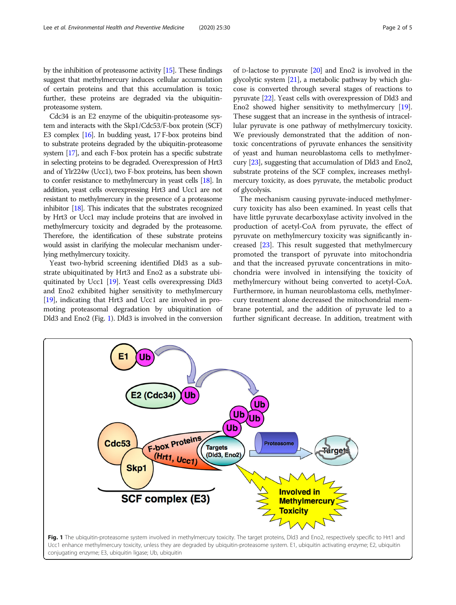by the inhibition of proteasome activity [\[15](#page-3-0)]. These findings suggest that methylmercury induces cellular accumulation of certain proteins and that this accumulation is toxic; further, these proteins are degraded via the ubiquitinproteasome system.

Cdc34 is an E2 enzyme of the ubiquitin-proteasome system and interacts with the Skp1/Cdc53/F-box protein (SCF) E3 complex [\[16](#page-3-0)]. In budding yeast, 17 F-box proteins bind to substrate proteins degraded by the ubiquitin-proteasome system [\[17](#page-3-0)], and each F-box protein has a specific substrate in selecting proteins to be degraded. Overexpression of Hrt3 and of Ylr224w (Ucc1), two F-box proteins, has been shown to confer resistance to methylmercury in yeast cells [[18](#page-3-0)]. In addition, yeast cells overexpressing Hrt3 and Ucc1 are not resistant to methylmercury in the presence of a proteasome inhibitor [\[18\]](#page-3-0). This indicates that the substrates recognized by Hrt3 or Ucc1 may include proteins that are involved in methylmercury toxicity and degraded by the proteasome. Therefore, the identification of these substrate proteins would assist in clarifying the molecular mechanism underlying methylmercury toxicity.

Yeast two-hybrid screening identified Dld3 as a substrate ubiquitinated by Hrt3 and Eno2 as a substrate ubiquitinated by Ucc1 [\[19\]](#page-3-0). Yeast cells overexpressing Dld3 and Eno2 exhibited higher sensitivity to methylmercury [[19](#page-3-0)], indicating that Hrt3 and Ucc1 are involved in promoting proteasomal degradation by ubiquitination of Dld3 and Eno2 (Fig. 1). Dld3 is involved in the conversion

of D-lactose to pyruvate [[20](#page-3-0)] and Eno2 is involved in the glycolytic system [[21](#page-3-0)], a metabolic pathway by which glucose is converted through several stages of reactions to pyruvate [\[22\]](#page-3-0). Yeast cells with overexpression of Dld3 and Eno2 showed higher sensitivity to methylmercury [[19](#page-3-0)]. These suggest that an increase in the synthesis of intracellular pyruvate is one pathway of methylmercury toxicity. We previously demonstrated that the addition of nontoxic concentrations of pyruvate enhances the sensitivity of yeast and human neuroblastoma cells to methylmercury [\[23\]](#page-3-0), suggesting that accumulation of Dld3 and Eno2, substrate proteins of the SCF complex, increases methylmercury toxicity, as does pyruvate, the metabolic product of glycolysis.

The mechanism causing pyruvate-induced methylmercury toxicity has also been examined. In yeast cells that have little pyruvate decarboxylase activity involved in the production of acetyl-CoA from pyruvate, the effect of pyruvate on methylmercury toxicity was significantly increased [[23](#page-3-0)]. This result suggested that methylmercury promoted the transport of pyruvate into mitochondria and that the increased pyruvate concentrations in mitochondria were involved in intensifying the toxicity of methylmercury without being converted to acetyl-CoA. Furthermore, in human neuroblastoma cells, methylmercury treatment alone decreased the mitochondrial membrane potential, and the addition of pyruvate led to a further significant decrease. In addition, treatment with

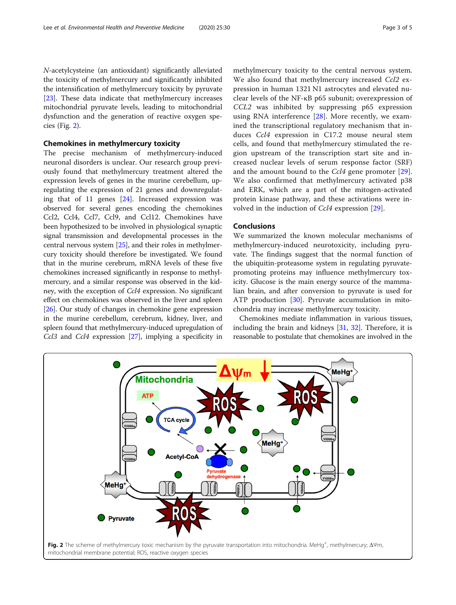N-acetylcysteine (an antioxidant) significantly alleviated the toxicity of methylmercury and significantly inhibited the intensification of methylmercury toxicity by pyruvate [[23\]](#page-3-0). These data indicate that methylmercury increases mitochondrial pyruvate levels, leading to mitochondrial dysfunction and the generation of reactive oxygen species (Fig. 2).

#### Chemokines in methylmercury toxicity

The precise mechanism of methylmercury-induced neuronal disorders is unclear. Our research group previously found that methylmercury treatment altered the expression levels of genes in the murine cerebellum, upregulating the expression of 21 genes and downregulating that of 11 genes [[24\]](#page-3-0). Increased expression was observed for several genes encoding the chemokines Ccl2, Ccl4, Ccl7, Ccl9, and Ccl12. Chemokines have been hypothesized to be involved in physiological synaptic signal transmission and developmental processes in the central nervous system [\[25](#page-3-0)], and their roles in methylmercury toxicity should therefore be investigated. We found that in the murine cerebrum, mRNA levels of these five chemokines increased significantly in response to methylmercury, and a similar response was observed in the kidney, with the exception of Ccl4 expression. No significant effect on chemokines was observed in the liver and spleen [[26](#page-3-0)]. Our study of changes in chemokine gene expression in the murine cerebellum, cerebrum, kidney, liver, and spleen found that methylmercury-induced upregulation of Ccl3 and Ccl4 expression [\[27\]](#page-3-0), implying a specificity in

methylmercury toxicity to the central nervous system. We also found that methylmercury increased Ccl2 expression in human 1321 N1 astrocytes and elevated nuclear levels of the NF-κB p65 subunit; overexpression of CCL2 was inhibited by suppressing p65 expression using RNA interference  $[28]$  $[28]$ . More recently, we examined the transcriptional regulatory mechanism that induces Ccl4 expression in C17.2 mouse neural stem cells, and found that methylmercury stimulated the region upstream of the transcription start site and increased nuclear levels of serum response factor (SRF) and the amount bound to the Ccl4 gene promoter [\[29](#page-3-0)]. We also confirmed that methylmercury activated p38 and ERK, which are a part of the mitogen-activated protein kinase pathway, and these activations were involved in the induction of Ccl4 expression [\[29](#page-3-0)].

### Conclusions

We summarized the known molecular mechanisms of methylmercury-induced neurotoxicity, including pyruvate. The findings suggest that the normal function of the ubiquitin-proteasome system in regulating pyruvatepromoting proteins may influence methylmercury toxicity. Glucose is the main energy source of the mammalian brain, and after conversion to pyruvate is used for ATP production [\[30\]](#page-4-0). Pyruvate accumulation in mitochondria may increase methylmercury toxicity.

Chemokines mediate inflammation in various tissues, including the brain and kidneys [\[31,](#page-4-0) [32](#page-4-0)]. Therefore, it is reasonable to postulate that chemokines are involved in the

![](_page_2_Figure_9.jpeg)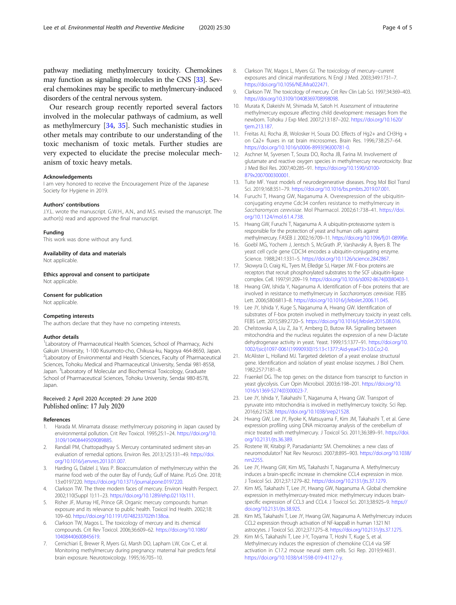<span id="page-3-0"></span>pathway mediating methylmercury toxicity. Chemokines may function as signaling molecules in the CNS [\[33](#page-4-0)]. Several chemokines may be specific to methylmercury-induced disorders of the central nervous system.

Our research group recently reported several factors involved in the molecular pathways of cadmium, as well as methylmercury [\[34](#page-4-0), [35](#page-4-0)]. Such mechanistic studies in other metals may contribute to our understanding of the toxic mechanism of toxic metals. Further studies are very expected to elucidate the precise molecular mechanism of toxic heavy metals.

#### Acknowledgements

I am very honored to receive the Encouragement Prize of the Japanese Society for Hygiene in 2019.

#### Authors' contributions

J.Y.L. wrote the manuscript. G.W.H., A.N., and M.S. revised the manuscript. The author(s) read and approved the final manuscript.

#### Funding

This work was done without any fund.

#### Availability of data and materials

Not applicable.

Ethics approval and consent to participate Not applicable.

#### Consent for publication

Not applicable.

#### Competing interests

The authors declare that they have no competing interests.

#### Author details

<sup>1</sup> Laboratory of Pharmaceutical Health Sciences, School of Pharmacy, Aichi Gakuin University, 1-100 Kusumoto-cho, Chikusa-ku, Nagoya 464-8650, Japan. 2 Laboratory of Environmental and Health Sciences, Faculty of Pharmaceutical Sciences, Tohoku Medical and Pharmaceutical University, Sendai 981-8558, Japan. <sup>3</sup> Laboratory of Molecular and Biochemical Toxicology, Graduate School of Pharmaceutical Sciences, Tohoku University, Sendai 980-8578, Japan.

#### Received: 2 April 2020 Accepted: 29 June 2020 Published online: 17 July 2020

#### References

- 1. Harada M. Minamata disease: methylmercury poisoning in Japan caused by environmental pollution. Crit Rev Toxicol. 1995;25:1–24. [https://doi.org/10.](https://doi.org/10.3109/10408449509089885) [3109/10408449509089885.](https://doi.org/10.3109/10408449509089885)
- 2. Randall PM, Chattopadhyay S. Mercury contaminated sediment sites-an evaluation of remedial options. Environ Res. 2013;125:131–49. [https://doi.](https://doi.org/10.1016/j.envres.2013.01.007) [org/10.1016/j.envres.2013.01.007](https://doi.org/10.1016/j.envres.2013.01.007).
- Harding G, Dalziel J, Vass P. Bioaccumulation of methylmercury within the marine food web of the outer Bay of Fundy, Gulf of Maine. PLoS One. 2018; 13:e0197220. <https://doi.org/10.1371/journal.pone.0197220>.
- 4. Clarkson TW. The three modern faces of mercury. Environ Health Perspect. 2002;110(Suppl 1):11–23. <https://doi.org/10.1289/ehp.02110s111>.
- 5. Risher JF, Murray HE, Prince GR. Organic mercury compounds: human exposure and its relevance to public health. Toxicol Ind Health. 2002;18: 109–60. <https://doi.org/10.1191/0748233702th138oa>.
- 6. Clarkson TW, Magos L. The toxicology of mercury and its chemical compounds. Crit Rev Toxicol. 2006;36:609–62. [https://doi.org/10.1080/](https://doi.org/10.1080/10408440600845619) [10408440600845619.](https://doi.org/10.1080/10408440600845619)
- 7. Cernichiari E, Brewer R, Myers GJ, Marsh DO, Lapham LW, Cox C, et al. Monitoring methylmercury during pregnancy: maternal hair predicts fetal brain exposure. Neurotoxicology. 1995;16:705–10.
- 8. Clarkson TW, Magos L, Myers GJ. The toxicology of mercury--current exposures and clinical manifestations. N Engl J Med. 2003;349:1731–7. <https://doi.org/10.1056/NEJMra022471>.
- 9. Clarkson TW. The toxicology of mercury. Crit Rev Clin Lab Sci. 1997;34:369–403. <https://doi.org/10.3109/10408369708998098>.
- 10. Murata K, Dakeishi M, Shimada M, Satoh H. Assessment of intrauterine methylmercury exposure affecting child development: messages from the newborn. Tohoku J Exp Med. 2007;213:187–202. [https://doi.org/10.1620/](https://doi.org/10.1620/tjem.213.187) [tjem.213.187](https://doi.org/10.1620/tjem.213.187).
- 11. Freitas AJ, Rocha JB, Wolosker H, Souza DO. Effects of Hg2+ and CH3Hg + on Ca2+ fluxes in rat brain microsomes. Brain Res. 1996;738:257–64. [https://doi.org/10.1016/s0006-8993\(96\)00781-0](https://doi.org/10.1016/s0006-8993(96)00781-0).
- 12. Aschner M, Syversen T, Souza DO, Rocha JB, Farina M. Involvement of glutamate and reactive oxygen species in methylmercury neurotoxicity. Braz J Med Biol Res. 2007;40:285–91. [https://doi.org/10.1590/s0100-](https://doi.org/10.1590/s0100-879x2007000300001) [879x2007000300001](https://doi.org/10.1590/s0100-879x2007000300001).
- 13. Tuite MF. Yeast models of neurodegenerative diseases. Prog Mol Biol Transl Sci. 2019;168:351–79. <https://doi.org/10.1016/bs.pmbts.2019.07.001>.
- 14. Furuchi T, Hwang GW, Naganuma A. Overexpression of the ubiquitinconjugating enzyme Cdc34 confers resistance to methylmercury in Saccharomyces cerevisiae. Mol Pharmacol. 2002;61:738–41. [https://doi.](https://doi.org/10.1124/mol.61.4.738) [org/10.1124/mol.61.4.738.](https://doi.org/10.1124/mol.61.4.738)
- 15. Hwang GW, Furuchi T, Naganuma A. A ubiquitin-proteasome system is responsible for the protection of yeast and human cells against methylmercury. FASEB J. 2002;16:709–11. [https://doi.org/10.1096/fj.01-0899fje.](https://doi.org/10.1096/fj.01-0899fje)
- 16. Goebl MG, Yochem J, Jentsch S, McGrath JP, Varshavsky A, Byers B. The yeast cell cycle gene CDC34 encodes a ubiquitin-conjugating enzyme. Science. 1988;241:1331–5. <https://doi.org/10.1126/science.2842867>.
- 17. Skowyra D, Craig KL, Tyers M, Elledge SJ, Harper JW. F-box proteins are receptors that recruit phosphorylated substrates to the SCF ubiquitin-ligase complex. Cell. 1997;91:209–19. [https://doi.org/10.1016/s0092-8674\(00\)80403-1](https://doi.org/10.1016/s0092-8674(00)80403-1).
- 18. Hwang GW, Ishida Y, Naganuma A. Identification of F-box proteins that are involved in resistance to methylmercury in Saccharomyces cerevisiae. FEBS Lett. 2006;580:6813–8. <https://doi.org/10.1016/j.febslet.2006.11.045>.
- 19. Lee JY, Ishida Y, Kuge S, Naganuma A, Hwang GW. Identification of substrates of F-box protein involved in methylmercury toxicity in yeast cells. FEBS Lett. 2015;589:2720–5. [https://doi.org/10.1016/j.febslet.2015.08.016.](https://doi.org/10.1016/j.febslet.2015.08.016)
- 20. Chelstowska A, Liu Z, Jia Y, Amberg D, Butow RA. Signalling between mitochondria and the nucleus regulates the expression of a new D-lactate dehydrogenase activity in yeast. Yeast. 1999;15:1377–91. [https://doi.org/10.](https://doi.org/10.1002/(sici)1097-0061(19990930)15:13<1377::Aid-yea473>3.0.Co;2-0) [1002/\(sici\)1097-0061\(19990930\)15:13<1377::Aid-yea473>3.0.Co;2-0.](https://doi.org/10.1002/(sici)1097-0061(19990930)15:13<1377::Aid-yea473>3.0.Co;2-0)
- 21. McAlister L, Holland MJ. Targeted deletion of a yeast enolase structural gene. Identification and isolation of yeast enolase isozymes. J Biol Chem. 1982;257:7181–8.
- 22. Fraenkel DG. The top genes: on the distance from transcript to function in yeast glycolysis. Curr Opin Microbiol. 2003;6:198–201. [https://doi.org/10.](https://doi.org/10.1016/s1369-5274(03)00023-7) [1016/s1369-5274\(03\)00023-7.](https://doi.org/10.1016/s1369-5274(03)00023-7)
- 23. Lee JY, Ishida Y, Takahashi T, Naganuma A, Hwang GW. Transport of pyruvate into mitochondria is involved in methylmercury toxicity. Sci Rep. 2016;6:21528. [https://doi.org/10.1038/srep21528.](https://doi.org/10.1038/srep21528)
- 24. Hwang GW, Lee JY, Ryoke K, Matsuyama F, Kim JM, Takahashi T, et al. Gene expression profiling using DNA microarray analysis of the cerebellum of mice treated with methylmercury. J Toxicol Sci. 2011;36:389–91. [https://doi.](https://doi.org/10.2131/jts.36.389) [org/10.2131/jts.36.389.](https://doi.org/10.2131/jts.36.389)
- 25. Rostene W, Kitabgi P, Parsadaniantz SM. Chemokines: a new class of neuromodulator? Nat Rev Neurosci. 2007;8:895–903. [https://doi.org/10.1038/](https://doi.org/10.1038/nrn2255) [nrn2255.](https://doi.org/10.1038/nrn2255)
- 26. Lee JY, Hwang GW, Kim MS, Takahashi T, Naganuma A. Methylmercury induces a brain-specific increase in chemokine CCL4 expression in mice. J Toxicol Sci. 2012;37:1279–82. <https://doi.org/10.2131/jts.37.1279>.
- 27. Kim MS, Takahashi T, Lee JY, Hwang GW, Naganuma A. Global chemokine expression in methylmercury-treated mice: methylmercury induces brainspecific expression of CCL3 and CCL4. J Toxicol Sci. 2013;38:925–9. [https://](https://doi.org/10.2131/jts.38.925) [doi.org/10.2131/jts.38.925.](https://doi.org/10.2131/jts.38.925)
- 28. Kim MS, Takahashi T, Lee JY, Hwang GW, Naganuma A. Methylmercury induces CCL2 expression through activation of NF-kappaB in human 1321 N1 astrocytes. J Toxicol Sci. 2012;37:1275–8. [https://doi.org/10.2131/jts.37.1275.](https://doi.org/10.2131/jts.37.1275)
- 29. Kim M-S, Takahashi T, Lee J-Y, Toyama T, Hoshi T, Kuge S, et al. Methylmercury induces the expression of chemokine CCL4 via SRF activation in C17.2 mouse neural stem cells. Sci Rep. 2019;9:4631. <https://doi.org/10.1038/s41598-019-41127-y>.